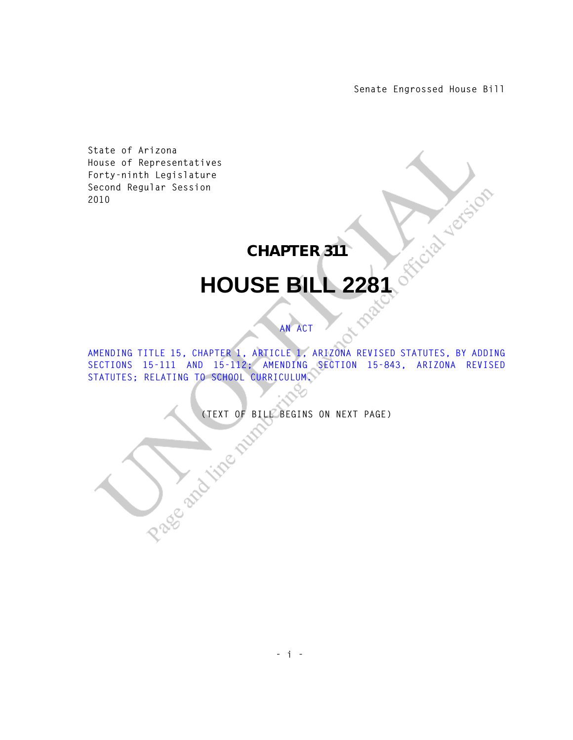**Senate Engrossed House Bill**

**State of Arizona House of Representatives Forty-ninth Legislature Second Regular Session 2010** 

## **CHAPTER 311**

## **HOUSE BILL 2281**

## **AN ACT**

**AMENDING TITLE 15, CHAPTER 1, ARTICLE 1, ARIZONA REVISED STATUTES, BY ADDING SECTIONS 15-111 AND 15-112; AMENDING SECTION 15-843, ARIZONA REVISED STATUTES; RELATING TO SCHOOL CURRICULUM.** 

(TEXT OF BILL BEGINS ON NEXT PAGE)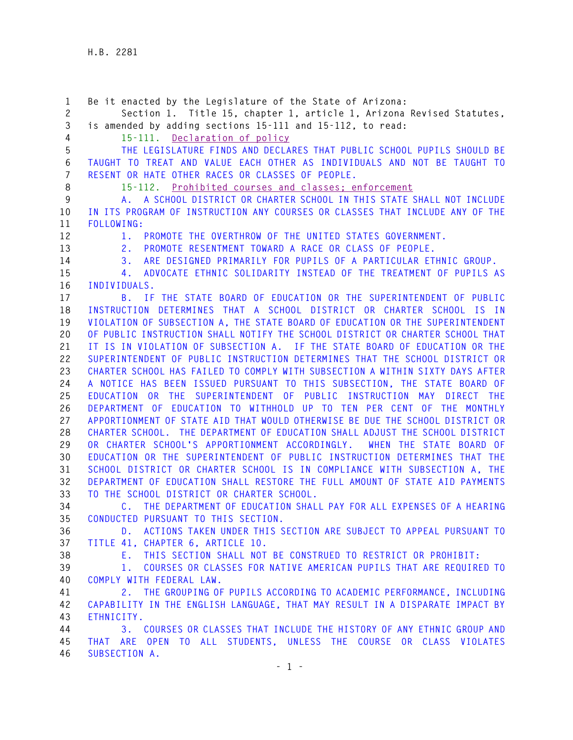**1 Be it enacted by the Legislature of the State of Arizona: 2 Section 1. Title 15, chapter 1, article 1, Arizona Revised Statutes, 3 is amended by adding sections 15-111 and 15-112, to read: 4 15-111. Declaration of policy 5 THE LEGISLATURE FINDS AND DECLARES THAT PUBLIC SCHOOL PUPILS SHOULD BE 6 TAUGHT TO TREAT AND VALUE EACH OTHER AS INDIVIDUALS AND NOT BE TAUGHT TO 7 RESENT OR HATE OTHER RACES OR CLASSES OF PEOPLE. 8 15-112. Prohibited courses and classes; enforcement 9 A. A SCHOOL DISTRICT OR CHARTER SCHOOL IN THIS STATE SHALL NOT INCLUDE 10 IN ITS PROGRAM OF INSTRUCTION ANY COURSES OR CLASSES THAT INCLUDE ANY OF THE 11 FOLLOWING: 12 1. PROMOTE THE OVERTHROW OF THE UNITED STATES GOVERNMENT. 13 2. PROMOTE RESENTMENT TOWARD A RACE OR CLASS OF PEOPLE. 14 3. ARE DESIGNED PRIMARILY FOR PUPILS OF A PARTICULAR ETHNIC GROUP. 15 4. ADVOCATE ETHNIC SOLIDARITY INSTEAD OF THE TREATMENT OF PUPILS AS 16 INDIVIDUALS. 17 B. IF THE STATE BOARD OF EDUCATION OR THE SUPERINTENDENT OF PUBLIC 18 INSTRUCTION DETERMINES THAT A SCHOOL DISTRICT OR CHARTER SCHOOL IS IN 19 VIOLATION OF SUBSECTION A, THE STATE BOARD OF EDUCATION OR THE SUPERINTENDENT 20 OF PUBLIC INSTRUCTION SHALL NOTIFY THE SCHOOL DISTRICT OR CHARTER SCHOOL THAT 21 IT IS IN VIOLATION OF SUBSECTION A. IF THE STATE BOARD OF EDUCATION OR THE 22 SUPERINTENDENT OF PUBLIC INSTRUCTION DETERMINES THAT THE SCHOOL DISTRICT OR 23 CHARTER SCHOOL HAS FAILED TO COMPLY WITH SUBSECTION A WITHIN SIXTY DAYS AFTER 24 A NOTICE HAS BEEN ISSUED PURSUANT TO THIS SUBSECTION, THE STATE BOARD OF 25 EDUCATION OR THE SUPERINTENDENT OF PUBLIC INSTRUCTION MAY DIRECT THE 26 DEPARTMENT OF EDUCATION TO WITHHOLD UP TO TEN PER CENT OF THE MONTHLY 27 APPORTIONMENT OF STATE AID THAT WOULD OTHERWISE BE DUE THE SCHOOL DISTRICT OR 28 CHARTER SCHOOL. THE DEPARTMENT OF EDUCATION SHALL ADJUST THE SCHOOL DISTRICT 29 OR CHARTER SCHOOL'S APPORTIONMENT ACCORDINGLY. WHEN THE STATE BOARD OF 30 EDUCATION OR THE SUPERINTENDENT OF PUBLIC INSTRUCTION DETERMINES THAT THE 31 SCHOOL DISTRICT OR CHARTER SCHOOL IS IN COMPLIANCE WITH SUBSECTION A, THE 32 DEPARTMENT OF EDUCATION SHALL RESTORE THE FULL AMOUNT OF STATE AID PAYMENTS 33 TO THE SCHOOL DISTRICT OR CHARTER SCHOOL. 34 C. THE DEPARTMENT OF EDUCATION SHALL PAY FOR ALL EXPENSES OF A HEARING 35 CONDUCTED PURSUANT TO THIS SECTION. 36 D. ACTIONS TAKEN UNDER THIS SECTION ARE SUBJECT TO APPEAL PURSUANT TO 37 TITLE 41, CHAPTER 6, ARTICLE 10. 38 E. THIS SECTION SHALL NOT BE CONSTRUED TO RESTRICT OR PROHIBIT: 39 1. COURSES OR CLASSES FOR NATIVE AMERICAN PUPILS THAT ARE REQUIRED TO 40 COMPLY WITH FEDERAL LAW. 41 2. THE GROUPING OF PUPILS ACCORDING TO ACADEMIC PERFORMANCE, INCLUDING 42 CAPABILITY IN THE ENGLISH LANGUAGE, THAT MAY RESULT IN A DISPARATE IMPACT BY 43 ETHNICITY. 44 3. COURSES OR CLASSES THAT INCLUDE THE HISTORY OF ANY ETHNIC GROUP AND 45 THAT ARE OPEN TO ALL STUDENTS, UNLESS THE COURSE OR CLASS VIOLATES 46 SUBSECTION A.**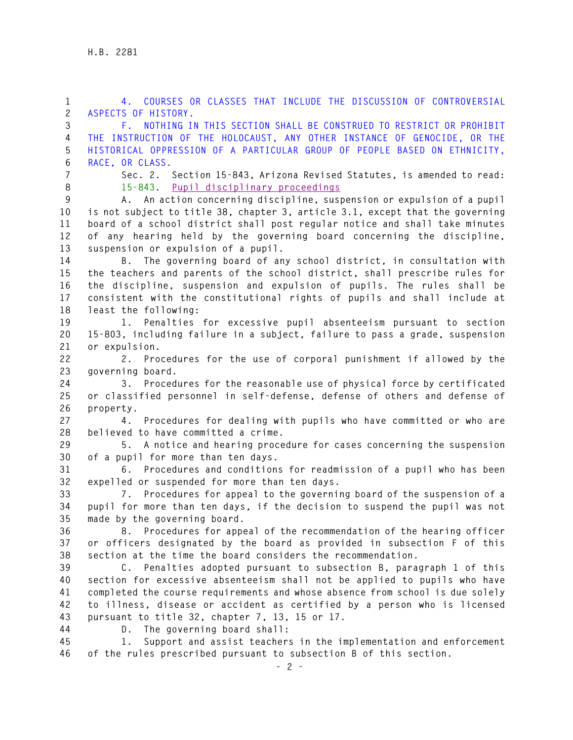**1 4. COURSES OR CLASSES THAT INCLUDE THE DISCUSSION OF CONTROVERSIAL 2 ASPECTS OF HISTORY.** 

**3 F. NOTHING IN THIS SECTION SHALL BE CONSTRUED TO RESTRICT OR PROHIBIT 4 THE INSTRUCTION OF THE HOLOCAUST, ANY OTHER INSTANCE OF GENOCIDE, OR THE 5 HISTORICAL OPPRESSION OF A PARTICULAR GROUP OF PEOPLE BASED ON ETHNICITY, 6 RACE, OR CLASS.** 

- 
- 

**7 Sec. 2. Section 15-843, Arizona Revised Statutes, is amended to read: 8 15-843. Pupil disciplinary proceedings**

**9 A. An action concerning discipline, suspension or expulsion of a pupil 10 is not subject to title 38, chapter 3, article 3.1, except that the governing 11 board of a school district shall post regular notice and shall take minutes 12 of any hearing held by the governing board concerning the discipline, 13 suspension or expulsion of a pupil.** 

**14 B. The governing board of any school district, in consultation with 15 the teachers and parents of the school district, shall prescribe rules for 16 the discipline, suspension and expulsion of pupils. The rules shall be 17 consistent with the constitutional rights of pupils and shall include at 18 least the following:** 

**19 1. Penalties for excessive pupil absenteeism pursuant to section 20 15-803, including failure in a subject, failure to pass a grade, suspension 21 or expulsion.** 

**22 2. Procedures for the use of corporal punishment if allowed by the 23 governing board.** 

**24 3. Procedures for the reasonable use of physical force by certificated 25 or classified personnel in self-defense, defense of others and defense of 26 property.** 

**27 4. Procedures for dealing with pupils who have committed or who are 28 believed to have committed a crime.** 

**29 5. A notice and hearing procedure for cases concerning the suspension 30 of a pupil for more than ten days.** 

**31 6. Procedures and conditions for readmission of a pupil who has been 32 expelled or suspended for more than ten days.** 

**33 7. Procedures for appeal to the governing board of the suspension of a 34 pupil for more than ten days, if the decision to suspend the pupil was not 35 made by the governing board.** 

**36 8. Procedures for appeal of the recommendation of the hearing officer 37 or officers designated by the board as provided in subsection F of this 38 section at the time the board considers the recommendation.** 

**39 C. Penalties adopted pursuant to subsection B, paragraph 1 of this 40 section for excessive absenteeism shall not be applied to pupils who have 41 completed the course requirements and whose absence from school is due solely 42 to illness, disease or accident as certified by a person who is licensed 43 pursuant to title 32, chapter 7, 13, 15 or 17.** 

**44 D. The governing board shall:** 

**45 1. Support and assist teachers in the implementation and enforcement 46 of the rules prescribed pursuant to subsection B of this section.**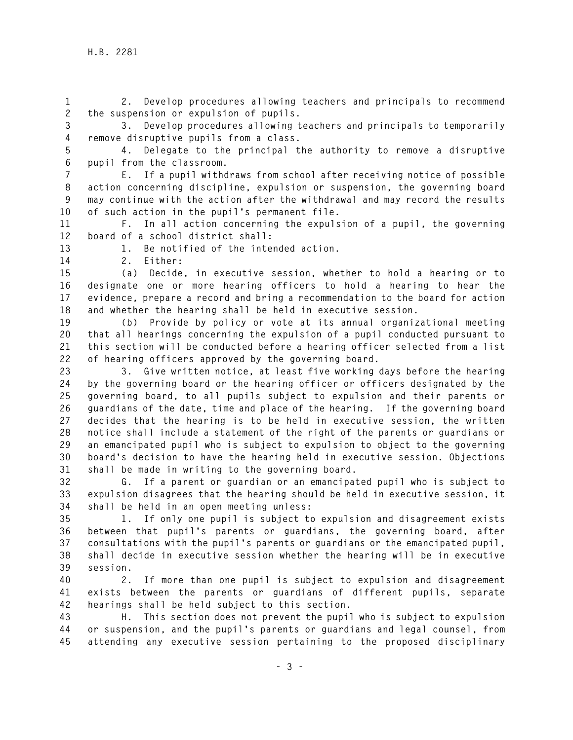**1 2. Develop procedures allowing teachers and principals to recommend 2 the suspension or expulsion of pupils.** 

**3 3. Develop procedures allowing teachers and principals to temporarily 4 remove disruptive pupils from a class.** 

**5 4. Delegate to the principal the authority to remove a disruptive 6 pupil from the classroom.** 

**7 E. If a pupil withdraws from school after receiving notice of possible 8 action concerning discipline, expulsion or suspension, the governing board 9 may continue with the action after the withdrawal and may record the results 10 of such action in the pupil's permanent file.** 

**11 F. In all action concerning the expulsion of a pupil, the governing 12 board of a school district shall:** 

**13 1. Be notified of the intended action.** 

**14 2. Either:** 

**15 (a) Decide, in executive session, whether to hold a hearing or to 16 designate one or more hearing officers to hold a hearing to hear the 17 evidence, prepare a record and bring a recommendation to the board for action 18 and whether the hearing shall be held in executive session.** 

**19 (b) Provide by policy or vote at its annual organizational meeting 20 that all hearings concerning the expulsion of a pupil conducted pursuant to 21 this section will be conducted before a hearing officer selected from a list 22 of hearing officers approved by the governing board.** 

**23 3. Give written notice, at least five working days before the hearing 24 by the governing board or the hearing officer or officers designated by the 25 governing board, to all pupils subject to expulsion and their parents or 26 guardians of the date, time and place of the hearing. If the governing board 27 decides that the hearing is to be held in executive session, the written 28 notice shall include a statement of the right of the parents or guardians or 29 an emancipated pupil who is subject to expulsion to object to the governing 30 board's decision to have the hearing held in executive session. Objections 31 shall be made in writing to the governing board.** 

**32 G. If a parent or guardian or an emancipated pupil who is subject to 33 expulsion disagrees that the hearing should be held in executive session, it 34 shall be held in an open meeting unless:** 

**35 1. If only one pupil is subject to expulsion and disagreement exists 36 between that pupil's parents or guardians, the governing board, after 37 consultations with the pupil's parents or guardians or the emancipated pupil, 38 shall decide in executive session whether the hearing will be in executive 39 session.** 

**40 2. If more than one pupil is subject to expulsion and disagreement 41 exists between the parents or guardians of different pupils, separate 42 hearings shall be held subject to this section.** 

**43 H. This section does not prevent the pupil who is subject to expulsion 44 or suspension, and the pupil's parents or guardians and legal counsel, from 45 attending any executive session pertaining to the proposed disciplinary**